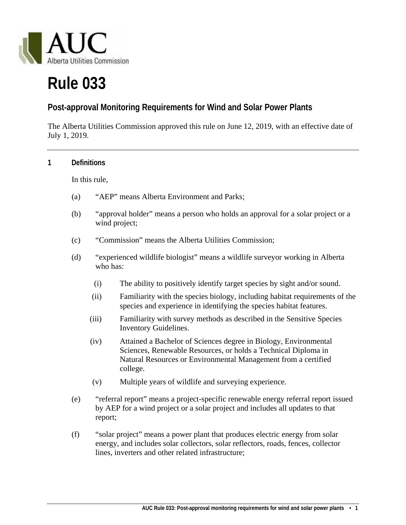

# **Rule 033**

## **Post-approval Monitoring Requirements for Wind and Solar Power Plants**

The Alberta Utilities Commission approved this rule on June 12, 2019, with an effective date of July 1, 2019.

#### **1 Definitions**

In this rule,

- (a) "AEP" means Alberta Environment and Parks;
- (b) "approval holder" means a person who holds an approval for a solar project or a wind project;
- (c) "Commission" means the Alberta Utilities Commission;
- (d) "experienced wildlife biologist" means a wildlife surveyor working in Alberta who has:
	- (i) The ability to positively identify target species by sight and/or sound.
	- (ii) Familiarity with the species biology, including habitat requirements of the species and experience in identifying the species habitat features.
	- (iii) Familiarity with survey methods as described in the Sensitive Species Inventory Guidelines.
	- (iv) Attained a Bachelor of Sciences degree in Biology, Environmental Sciences, Renewable Resources, or holds a Technical Diploma in Natural Resources or Environmental Management from a certified college.
	- (v) Multiple years of wildlife and surveying experience.
- (e) "referral report" means a project-specific renewable energy referral report issued by AEP for a wind project or a solar project and includes all updates to that report;
- (f) "solar project" means a power plant that produces electric energy from solar energy, and includes solar collectors, solar reflectors, roads, fences, collector lines, inverters and other related infrastructure;